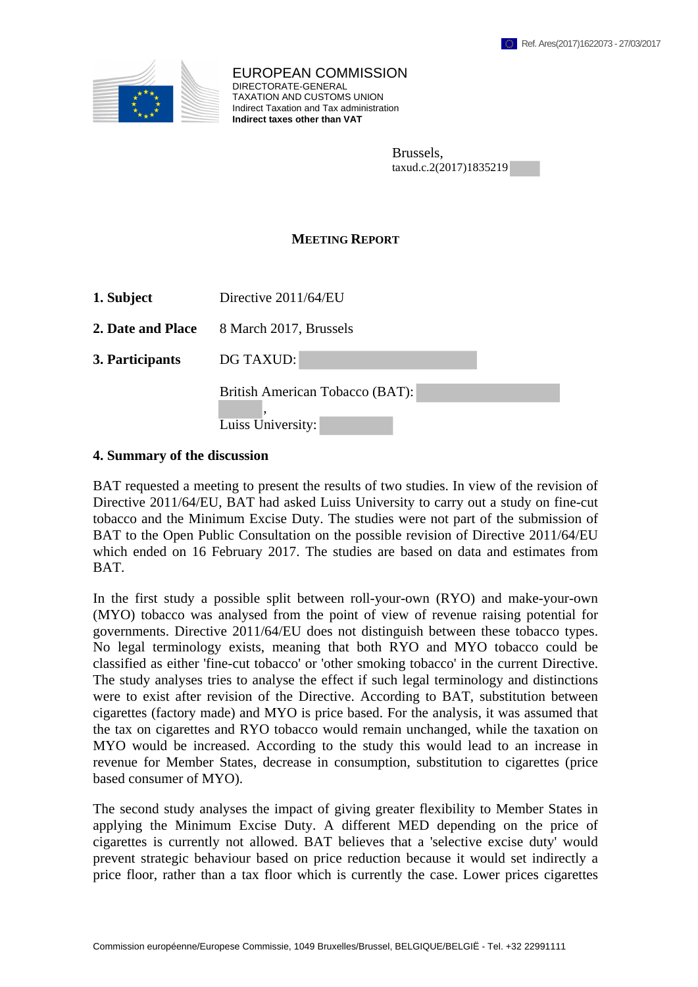

EUROPEAN COMMISSION DIRECTORATE-GENERAL TAXATION AND CUSTOMS UNION Indirect Taxation and Tax administration **Indirect taxes other than VAT**

| Brussels,              |  |
|------------------------|--|
| taxud.c.2(2017)1835219 |  |

## **MEETING REPORT**

| 1. Subject | Directive $2011/64/EU$ |
|------------|------------------------|
|------------|------------------------|

**2. Date and Place** 8 March 2017, Brussels

**3. Participants** DG TAXUD:

British American Tobacco (BAT):

, Luiss University:

## **4. Summary of the discussion**

BAT requested a meeting to present the results of two studies. In view of the revision of Directive 2011/64/EU, BAT had asked Luiss University to carry out a study on fine-cut tobacco and the Minimum Excise Duty. The studies were not part of the submission of BAT to the Open Public Consultation on the possible revision of Directive 2011/64/EU which ended on 16 February 2017. The studies are based on data and estimates from BAT.

In the first study a possible split between roll-your-own (RYO) and make-your-own (MYO) tobacco was analysed from the point of view of revenue raising potential for governments. Directive 2011/64/EU does not distinguish between these tobacco types. No legal terminology exists, meaning that both RYO and MYO tobacco could be classified as either 'fine-cut tobacco' or 'other smoking tobacco' in the current Directive. The study analyses tries to analyse the effect if such legal terminology and distinctions were to exist after revision of the Directive. According to BAT, substitution between cigarettes (factory made) and MYO is price based. For the analysis, it was assumed that the tax on cigarettes and RYO tobacco would remain unchanged, while the taxation on MYO would be increased. According to the study this would lead to an increase in revenue for Member States, decrease in consumption, substitution to cigarettes (price based consumer of MYO).

The second study analyses the impact of giving greater flexibility to Member States in applying the Minimum Excise Duty. A different MED depending on the price of cigarettes is currently not allowed. BAT believes that a 'selective excise duty' would prevent strategic behaviour based on price reduction because it would set indirectly a price floor, rather than a tax floor which is currently the case. Lower prices cigarettes